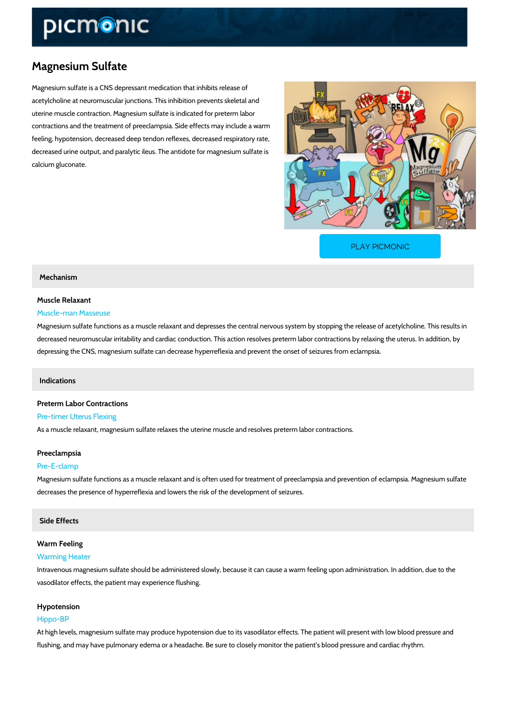# Magnesium Sulfate

Magnesium sulfate is a CNS depressant medication that inhibits release of acetylcholine at neuromuscular junctions. This inhibition prevents skeletal and uterine muscle contraction. Magnesium sulfate is indicated for preterm labor contractions and the treatment of preeclampsia. Side effects may include a warm feeling, hypotension, decreased deep tendon reflexes, decreased respiratory rate, decreased urine output, and paralytic ileus. The antidote for magnesium sulfate is calcium gluconate.

[PLAY PICMONIC](https://www.picmonic.com/learn/magnesium-sulfate_1988?utm_source=downloadable_content&utm_medium=distributedcontent&utm_campaign=pathways_pdf&utm_content=Magnesium Sulfate&utm_ad_group=leads&utm_market=all)

### Mechanism

## Muscle Relaxant Muscle-man Masseuse

# Magnesium sulfate functions as a muscle relaxant and depresses the central nervous system b decreased neuromuscular irritability and cardiac conduction. This action resolves preterm lab depressing the CNS, magnesium sulfate can decrease hyperreflexia and prevent the onset of s

### Indications

# Preterm Labor Contractions Pre-timer Uterus Flexing As a muscle relaxant, magnesium sulfate relaxes the uterine muscle and resolves preterm labe

## Preeclampsia

### Pre-E-clamp

Magnesium sulfate functions as a muscle relaxant and is often used for treatment of preeclam decreases the presence of hyperreflexia and lowers the risk of the development of seizures.

### Side Effects

# Warm Feeling

### Warming Heater

Intravenous magnesium sulfate should be administered slowly, because it can cause a warm fe vasodilator effects, the patient may experience flushing.

### Hypotension

### Hippo-BP

At high levels, magnesium sulfate may produce hypotension due to its vasodilator effects. The flushing, and may have pulmonary edema or a headache. Be sure to closely monitor the patien